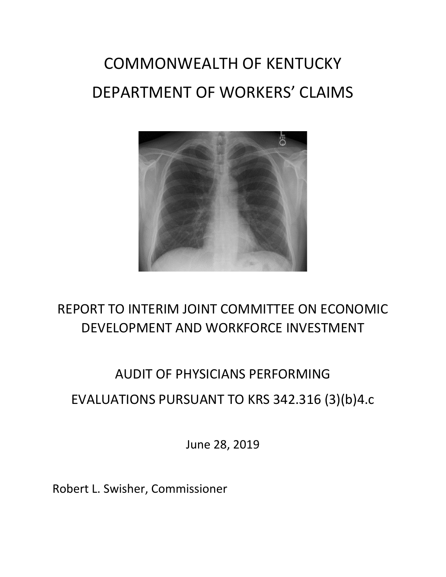# COMMONWEALTH OF KENTUCKY DEPARTMENT OF WORKERS' CLAIMS



### REPORT TO INTERIM JOINT COMMITTEE ON ECONOMIC DEVELOPMENT AND WORKFORCE INVESTMENT

## AUDIT OF PHYSICIANS PERFORMING EVALUATIONS PURSUANT TO KRS 342.316 (3)(b)4.c

June 28, 2019

Robert L. Swisher, Commissioner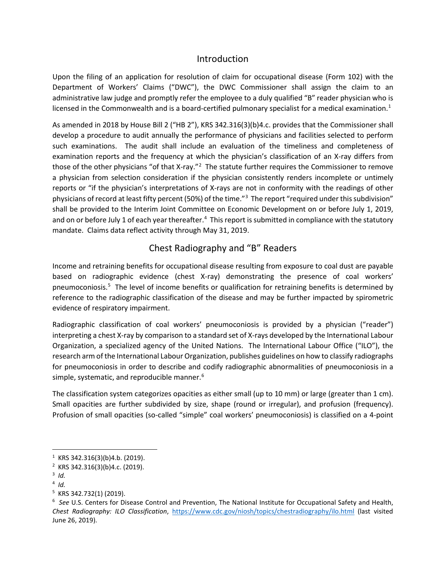#### Introduction

Upon the filing of an application for resolution of claim for occupational disease (Form 102) with the Department of Workers' Claims ("DWC"), the DWC Commissioner shall assign the claim to an administrative law judge and promptly refer the employee to a duly qualified "B" reader physician who is licensed in the Commonwealth and is a board-certified pulmonary specialist for a medical examination.<sup>[1](#page-1-0)</sup>

As amended in 2018 by House Bill 2 ("HB 2"), KRS 342.316(3)(b)4.c. provides that the Commissioner shall develop a procedure to audit annually the performance of physicians and facilities selected to perform such examinations. The audit shall include an evaluation of the timeliness and completeness of examination reports and the frequency at which the physician's classification of an X-ray differs from those of the other physicians "of that X-ray."<sup>[2](#page-1-1)</sup> The statute further requires the Commissioner to remove a physician from selection consideration if the physician consistently renders incomplete or untimely reports or "if the physician's interpretations of X-rays are not in conformity with the readings of other physicians of record at least fifty percent (50%) of the time."<sup>[3](#page-1-2)</sup> The report "required under this subdivision" shall be provided to the Interim Joint Committee on Economic Development on or before July 1, 2019, and on or before July 1 of each year thereafter.<sup>[4](#page-1-3)</sup> This report is submitted in compliance with the statutory mandate. Claims data reflect activity through May 31, 2019.

#### Chest Radiography and "B" Readers

Income and retraining benefits for occupational disease resulting from exposure to coal dust are payable based on radiographic evidence (chest X-ray) demonstrating the presence of coal workers' pneumoconiosis.<sup>[5](#page-1-4)</sup> The level of income benefits or qualification for retraining benefits is determined by reference to the radiographic classification of the disease and may be further impacted by spirometric evidence of respiratory impairment.

Radiographic classification of coal workers' pneumoconiosis is provided by a physician ("reader") interpreting a chest X-ray by comparison to a standard set of X-rays developed by the International Labour Organization, a specialized agency of the United Nations. The International Labour Office ("ILO"), the research arm of the International Labour Organization, publishes guidelines on how to classify radiographs for pneumoconiosis in order to describe and codify radiographic abnormalities of pneumoconiosis in a simple, systematic, and reproducible manner.<sup>[6](#page-1-5)</sup>

The classification system categorizes opacities as either small (up to 10 mm) or large (greater than 1 cm). Small opacities are further subdivided by size, shape (round or irregular), and profusion (frequency). Profusion of small opacities (so-called "simple" coal workers' pneumoconiosis) is classified on a 4-point

<span id="page-1-0"></span> $1$  KRS 342.316(3)(b)4.b. (2019).

<span id="page-1-1"></span><sup>2</sup> KRS 342.316(3)(b)4.c. (2019).

<span id="page-1-2"></span><sup>3</sup> *Id.*

<span id="page-1-3"></span> $4$  *Id.* 

<span id="page-1-4"></span><sup>5</sup> KRS 342.732(1) (2019).

<span id="page-1-5"></span><sup>6</sup> *See* U.S. Centers for Disease Control and Prevention, The National Institute for Occupational Safety and Health, *Chest Radiography: ILO Classification*, <https://www.cdc.gov/niosh/topics/chestradiography/ilo.html> (last visited June 26, 2019).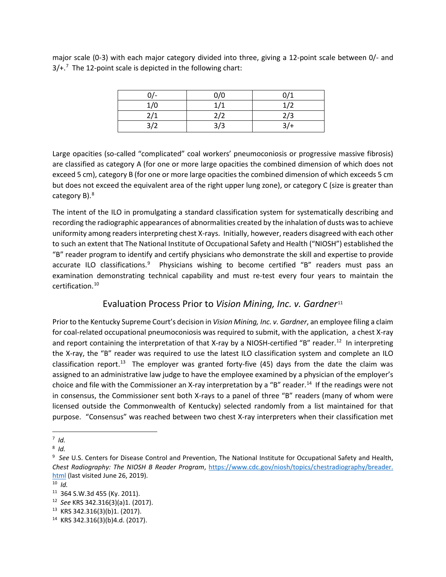major scale (0-3) with each major category divided into three, giving a 12-point scale between 0/- and  $3/+$ .<sup>[7](#page-2-0)</sup> The 12-point scale is depicted in the following chart:

| ሰ/- | 0/0 | 0/1    |
|-----|-----|--------|
| 1/0 | 1/1 | 1/2    |
| 2/1 | 2/2 | 2/3    |
| 3/2 | 3/3 | $3/$ + |

Large opacities (so-called "complicated" coal workers' pneumoconiosis or progressive massive fibrosis) are classified as category A (for one or more large opacities the combined dimension of which does not exceed 5 cm), category B (for one or more large opacities the combined dimension of which exceeds 5 cm but does not exceed the equivalent area of the right upper lung zone), or category C (size is greater than category B).<sup>[8](#page-2-1)</sup>

The intent of the ILO in promulgating a standard classification system for systematically describing and recording the radiographic appearances of abnormalities created by the inhalation of dusts was to achieve uniformity among readers interpreting chest X-rays. Initially, however, readers disagreed with each other to such an extent that The National Institute of Occupational Safety and Health ("NIOSH") established the "B" reader program to identify and certify physicians who demonstrate the skill and expertise to provide accurate ILO classifications.<sup>[9](#page-2-2)</sup> Physicians wishing to become certified "B" readers must pass an examination demonstrating technical capability and must re-test every four years to maintain the certification.[10](#page-2-3)

#### Evaluation Process Prior to *Vision Mining, Inc. v. Gardner*[11](#page-2-4)

Prior to the Kentucky Supreme Court's decision in *Vision Mining, Inc. v. Gardner*, an employee filing a claim for coal-related occupational pneumoconiosis was required to submit, with the application, a chest X-ray and report containing the interpretation of that X-ray by a NIOSH-certified "B" reader.<sup>[12](#page-2-5)</sup> In interpreting the X-ray, the "B" reader was required to use the latest ILO classification system and complete an ILO classification report.<sup>13</sup> The employer was granted forty-five  $(45)$  days from the date the claim was assigned to an administrative law judge to have the employee examined by a physician of the employer's choice and file with the Commissioner an X-ray interpretation by a "B" reader.<sup>[14](#page-2-7)</sup> If the readings were not in consensus, the Commissioner sent both X-rays to a panel of three "B" readers (many of whom were licensed outside the Commonwealth of Kentucky) selected randomly from a list maintained for that purpose. "Consensus" was reached between two chest X-ray interpreters when their classification met

<span id="page-2-0"></span><sup>-&</sup>lt;br>7  $7$  *Id.* 

<span id="page-2-1"></span><sup>8</sup> *Id.*

<span id="page-2-2"></span><sup>9</sup> *See* U.S. Centers for Disease Control and Prevention, The National Institute for Occupational Safety and Health, *Chest Radiography: The NIOSH B Reader Program*, [https://www.cdc.gov/niosh/topics/chestradiography/breader.](https://www.cdc.gov/niosh/topics/chestradiography/breader.%20html)  html (last visited June 26, 2019). 10 *Id.*

<span id="page-2-3"></span>

<span id="page-2-4"></span><sup>11</sup> 364 S.W.3d 455 (Ky. 2011).

<span id="page-2-5"></span><sup>12</sup> *See* KRS 342.316(3)(a)1. (2017).

<span id="page-2-6"></span><sup>13</sup> KRS 342.316(3)(b)1. (2017).

<span id="page-2-7"></span><sup>14</sup> KRS 342.316(3)(b)4.d. (2017).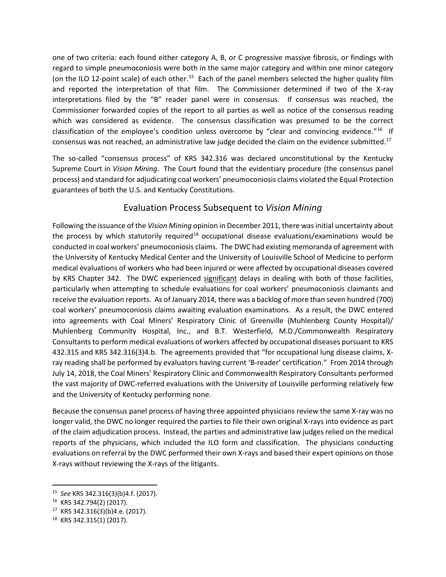one of two criteria: each found either category A, B, or C progressive massive fibrosis, or findings with regard to simple pneumoconiosis were both in the same major category and within one minor category (on the ILO 12-point scale) of each other.<sup>[15](#page-3-0)</sup> Each of the panel members selected the higher quality film and reported the interpretation of that film. The Commissioner determined if two of the X-ray interpretations filed by the "B" reader panel were in consensus. If consensus was reached, the Commissioner forwarded copies of the report to all parties as well as notice of the consensus reading which was considered as evidence. The consensus classification was presumed to be the correct classification of the employee's condition unless overcome by "clear and convincing evidence."<sup>[16](#page-3-1)</sup> If consensus was not reached, an administrative law judge decided the claim on the evidence submitted.<sup>[17](#page-3-2)</sup>

The so-called "consensus process" of KRS 342.316 was declared unconstitutional by the Kentucky Supreme Court in *Vision Mining*. The Court found that the evidentiary procedure (the consensus panel process) and standard for adjudicating coal workers' pneumoconiosis claims violated the Equal Protection guarantees of both the U.S. and Kentucky Constitutions.

#### Evaluation Process Subsequent to *Vision Mining*

Following the issuance of the *Vision Mining* opinion in December 2011, there was initial uncertainty about the process by which statutorily required<sup>[18](#page-3-3)</sup> occupational disease evaluations/examinations would be conducted in coal workers' pneumoconiosis claims. The DWC had existing memoranda of agreement with the University of Kentucky Medical Center and the University of Louisville School of Medicine to perform medical evaluations of workers who had been injured or were affected by occupational diseases covered by KRS Chapter 342. The DWC experienced significant delays in dealing with both of those facilities, particularly when attempting to schedule evaluations for coal workers' pneumoconiosis claimants and receive the evaluation reports. As of January 2014, there was a backlog of more than seven hundred (700) coal workers' pneumoconiosis claims awaiting evaluation examinations. As a result, the DWC entered into agreements with Coal Miners' Respiratory Clinic of Greenville (Muhlenberg County Hospital)/ Muhlenberg Community Hospital, Inc., and B.T. Westerfield, M.D./Commonwealth Respiratory Consultants to perform medical evaluations of workers affected by occupational diseases pursuant to KRS 432.315 and KRS 342.316(3)4.b. The agreements provided that "for occupational lung disease claims, Xray reading shall be performed by evaluators having current 'B-reader' certification." From 2014 through July 14, 2018, the Coal Miners' Respiratory Clinic and Commonwealth Respiratory Consultants performed the vast majority of DWC-referred evaluations with the University of Louisville performing relatively few and the University of Kentucky performing none.

Because the consensus panel process of having three appointed physicians review the same X-ray was no longer valid, the DWC no longer required the parties to file their own original X-rays into evidence as part of the claim adjudication process. Instead, the parties and administrative law judges relied on the medical reports of the physicians, which included the ILO form and classification. The physicians conducting evaluations on referral by the DWC performed their own X-rays and based their expert opinions on those X-rays without reviewing the X-rays of the litigants.

<span id="page-3-0"></span> <sup>15</sup> *See* KRS 342.316(3)(b)4.f. (2017).

<span id="page-3-1"></span><sup>16</sup> KRS 342.794(2) (2017).

<span id="page-3-2"></span><sup>17</sup> KRS 342.316(3)(b)4.e. (2017).

<span id="page-3-3"></span><sup>18</sup> KRS 342.315(1) (2017).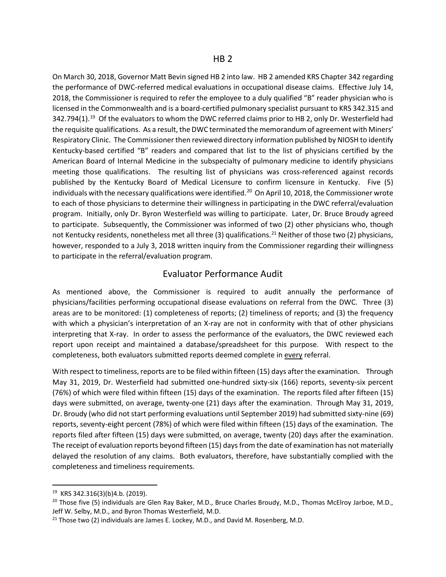On March 30, 2018, Governor Matt Bevin signed HB 2 into law. HB 2 amended KRS Chapter 342 regarding the performance of DWC-referred medical evaluations in occupational disease claims. Effective July 14, 2018, the Commissioner is required to refer the employee to a duly qualified "B" reader physician who is licensed in the Commonwealth and is a board-certified pulmonary specialist pursuant to KRS 342.315 and 342.794(1).<sup>[19](#page-4-0)</sup> Of the evaluators to whom the DWC referred claims prior to HB 2, only Dr. Westerfield had the requisite qualifications. As a result, the DWC terminated the memorandum of agreement with Miners' Respiratory Clinic. The Commissioner then reviewed directory information published by NIOSH to identify Kentucky-based certified "B" readers and compared that list to the list of physicians certified by the American Board of Internal Medicine in the subspecialty of pulmonary medicine to identify physicians meeting those qualifications. The resulting list of physicians was cross-referenced against records published by the Kentucky Board of Medical Licensure to confirm licensure in Kentucky. Five (5) individuals with the necessary qualifications were identified.<sup>[20](#page-4-1)</sup> On April 10, 2018, the Commissioner wrote to each of those physicians to determine their willingness in participating in the DWC referral/evaluation program. Initially, only Dr. Byron Westerfield was willing to participate. Later, Dr. Bruce Broudy agreed to participate. Subsequently, the Commissioner was informed of two (2) other physicians who, though not Kentucky residents, nonetheless met all three (3) qualifications.<sup>[21](#page-4-2)</sup> Neither of those two (2) physicians, however, responded to a July 3, 2018 written inquiry from the Commissioner regarding their willingness to participate in the referral/evaluation program.

#### Evaluator Performance Audit

As mentioned above, the Commissioner is required to audit annually the performance of physicians/facilities performing occupational disease evaluations on referral from the DWC. Three (3) areas are to be monitored: (1) completeness of reports; (2) timeliness of reports; and (3) the frequency with which a physician's interpretation of an X-ray are not in conformity with that of other physicians interpreting that X-ray. In order to assess the performance of the evaluators, the DWC reviewed each report upon receipt and maintained a database/spreadsheet for this purpose. With respect to the completeness, both evaluators submitted reports deemed complete in every referral.

With respect to timeliness, reports are to be filed within fifteen (15) days after the examination. Through May 31, 2019, Dr. Westerfield had submitted one-hundred sixty-six (166) reports, seventy-six percent (76%) of which were filed within fifteen (15) days of the examination. The reports filed after fifteen (15) days were submitted, on average, twenty-one (21) days after the examination. Through May 31, 2019, Dr. Broudy (who did not start performing evaluations until September 2019) had submitted sixty-nine (69) reports, seventy-eight percent (78%) of which were filed within fifteen (15) days of the examination. The reports filed after fifteen (15) days were submitted, on average, twenty (20) days after the examination. The receipt of evaluation reports beyond fifteen (15) days from the date of examination has not materially delayed the resolution of any claims. Both evaluators, therefore, have substantially complied with the completeness and timeliness requirements.

<span id="page-4-0"></span> <sup>19</sup> KRS 342.316(3)(b)4.b. (2019).

<span id="page-4-1"></span><sup>&</sup>lt;sup>20</sup> Those five (5) individuals are Glen Ray Baker, M.D., Bruce Charles Broudy, M.D., Thomas McElroy Jarboe, M.D., Jeff W. Selby, M.D., and Byron Thomas Westerfield, M.D.

<span id="page-4-2"></span> $21$  Those two (2) individuals are James E. Lockey, M.D., and David M. Rosenberg, M.D.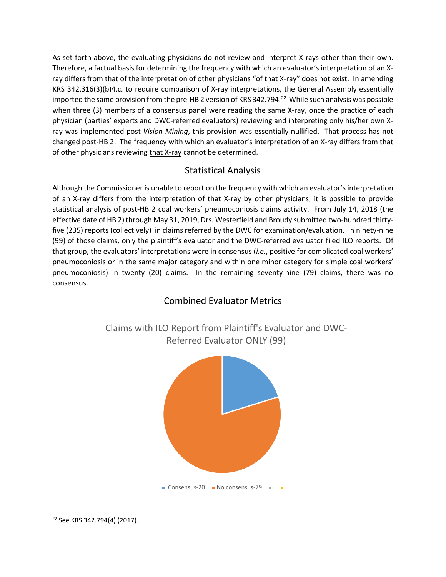As set forth above, the evaluating physicians do not review and interpret X-rays other than their own. Therefore, a factual basis for determining the frequency with which an evaluator's interpretation of an Xray differs from that of the interpretation of other physicians "of that X-ray" does not exist. In amending KRS 342.316(3)(b)4.c. to require comparison of X-ray interpretations, the General Assembly essentially imported the same provision from the pre-HB 2 version of KRS 342.794.<sup>[22](#page-5-0)</sup> While such analysis was possible when three (3) members of a consensus panel were reading the same X-ray, once the practice of each physician (parties' experts and DWC-referred evaluators) reviewing and interpreting only his/her own Xray was implemented post-*Vision Mining*, this provision was essentially nullified. That process has not changed post-HB 2. The frequency with which an evaluator's interpretation of an X-ray differs from that of other physicians reviewing that X-ray cannot be determined.

#### Statistical Analysis

Although the Commissioner is unable to report on the frequency with which an evaluator's interpretation of an X-ray differs from the interpretation of that X-ray by other physicians, it is possible to provide statistical analysis of post-HB 2 coal workers' pneumoconiosis claims activity. From July 14, 2018 (the effective date of HB 2) through May 31, 2019, Drs. Westerfield and Broudy submitted two-hundred thirtyfive (235) reports (collectively) in claims referred by the DWC for examination/evaluation. In ninety-nine (99) of those claims, only the plaintiff's evaluator and the DWC-referred evaluator filed ILO reports. Of that group, the evaluators' interpretations were in consensus (*i.e.*, positive for complicated coal workers' pneumoconiosis or in the same major category and within one minor category for simple coal workers' pneumoconiosis) in twenty (20) claims. In the remaining seventy-nine (79) claims, there was no consensus.

#### Combined Evaluator Metrics





<span id="page-5-0"></span> <sup>22</sup> See KRS 342.794(4) (2017).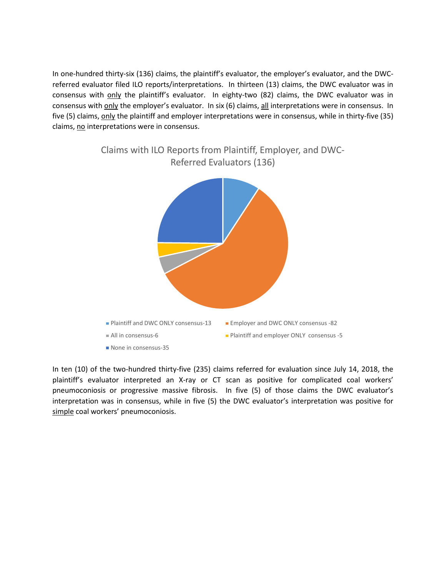In one-hundred thirty-six (136) claims, the plaintiff's evaluator, the employer's evaluator, and the DWCreferred evaluator filed ILO reports/interpretations. In thirteen (13) claims, the DWC evaluator was in consensus with only the plaintiff's evaluator. In eighty-two (82) claims, the DWC evaluator was in consensus with only the employer's evaluator. In six (6) claims, all interpretations were in consensus. In five (5) claims, only the plaintiff and employer interpretations were in consensus, while in thirty-five (35) claims, no interpretations were in consensus.



In ten (10) of the two-hundred thirty-five (235) claims referred for evaluation since July 14, 2018, the plaintiff's evaluator interpreted an X-ray or CT scan as positive for complicated coal workers' pneumoconiosis or progressive massive fibrosis. In five (5) of those claims the DWC evaluator's interpretation was in consensus, while in five (5) the DWC evaluator's interpretation was positive for simple coal workers' pneumoconiosis.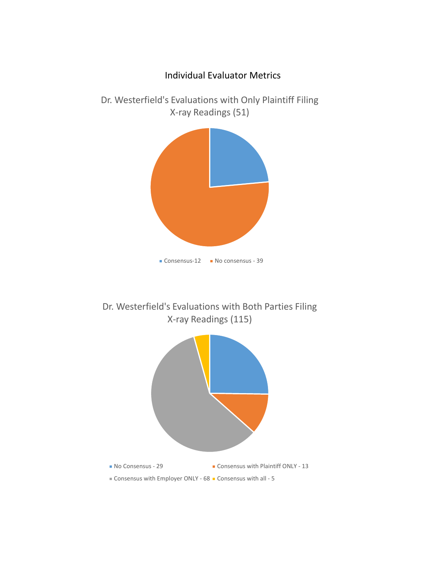

Dr. Westerfield's Evaluations with Both Parties Filing X-ray Readings (115)

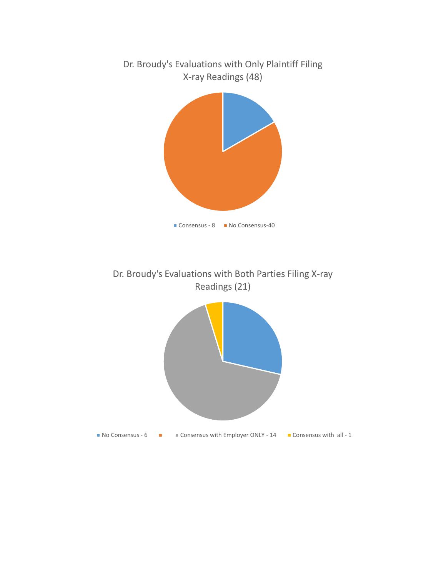

Dr. Broudy's Evaluations with Both Parties Filing X-ray Readings (21)